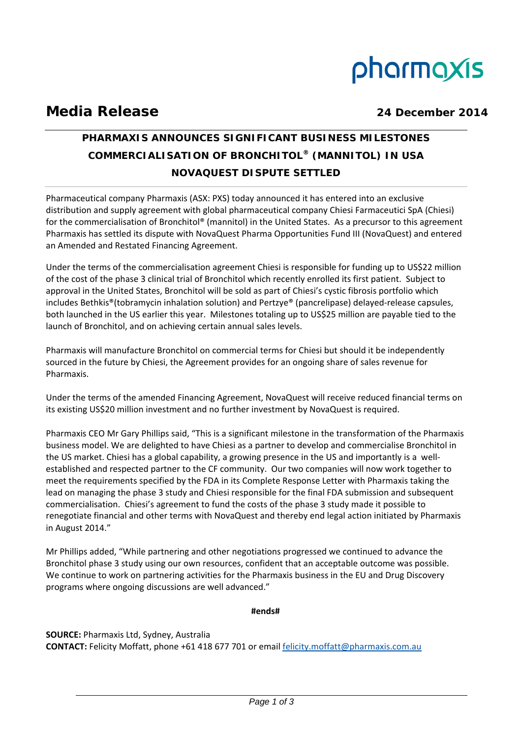# pharmaxis

# **Media Release 24 December 2014**

## **PHARMAXIS ANNOUNCES SIGNIFICANT BUSINESS MILESTONES COMMERCIALISATION OF BRONCHITOL® (MANNITOL) IN USA NOVAQUEST DISPUTE SETTLED**

Pharmaceutical company Pharmaxis (ASX: PXS) today announced it has entered into an exclusive distribution and supply agreement with global pharmaceutical company Chiesi Farmaceutici SpA (Chiesi) for the commercialisation of Bronchitol® (mannitol) in the United States. As a precursor to this agreement Pharmaxis has settled its dispute with NovaQuest Pharma Opportunities Fund III (NovaQuest) and entered an Amended and Restated Financing Agreement.

Under the terms of the commercialisation agreement Chiesi is responsible for funding up to US\$22 million of the cost of the phase 3 clinical trial of Bronchitol which recently enrolled its first patient. Subject to approval in the United States, Bronchitol will be sold as part of Chiesi's cystic fibrosis portfolio which includes Bethkis®(tobramycin inhalation solution) and Pertzye® (pancrelipase) delayed‐release capsules, both launched in the US earlier this year. Milestones totaling up to US\$25 million are payable tied to the launch of Bronchitol, and on achieving certain annual sales levels.

Pharmaxis will manufacture Bronchitol on commercial terms for Chiesi but should it be independently sourced in the future by Chiesi, the Agreement provides for an ongoing share of sales revenue for Pharmaxis.

Under the terms of the amended Financing Agreement, NovaQuest will receive reduced financial terms on its existing US\$20 million investment and no further investment by NovaQuest is required.

Pharmaxis CEO Mr Gary Phillips said, "This is a significant milestone in the transformation of the Pharmaxis business model. We are delighted to have Chiesi as a partner to develop and commercialise Bronchitol in the US market. Chiesi has a global capability, a growing presence in the US and importantly is a well‐ established and respected partner to the CF community. Our two companies will now work together to meet the requirements specified by the FDA in its Complete Response Letter with Pharmaxis taking the lead on managing the phase 3 study and Chiesi responsible for the final FDA submission and subsequent commercialisation. Chiesi's agreement to fund the costs of the phase 3 study made it possible to renegotiate financial and other terms with NovaQuest and thereby end legal action initiated by Pharmaxis in August 2014."

Mr Phillips added, "While partnering and other negotiations progressed we continued to advance the Bronchitol phase 3 study using our own resources, confident that an acceptable outcome was possible. We continue to work on partnering activities for the Pharmaxis business in the EU and Drug Discovery programs where ongoing discussions are well advanced."

**#ends#**

**SOURCE:** Pharmaxis Ltd, Sydney, Australia **CONTACT:** Felicity Moffatt, phone +61 418 677 701 or email felicity.moffatt@pharmaxis.com.au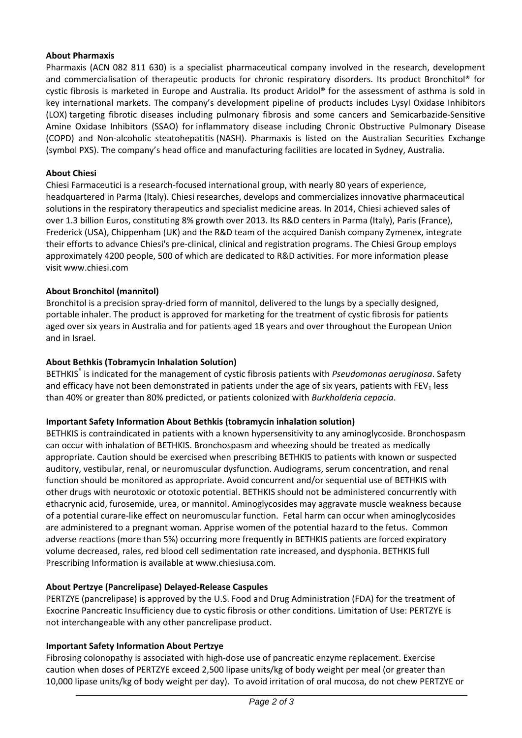#### **About Pharmaxis**

Pharmaxis (ACN 082 811 630) is a specialist pharmaceutical company involved in the research, development and commercialisation of therapeutic products for chronic respiratory disorders. Its product Bronchitol® for cystic fibrosis is marketed in Europe and Australia. Its product Aridol® for the assessment of asthma is sold in key international markets. The company's development pipeline of products includes Lysyl Oxidase Inhibitors (LOX) targeting fibrotic diseases including pulmonary fibrosis and some cancers and Semicarbazide‐Sensitive Amine Oxidase Inhibitors (SSAO) for inflammatory disease including Chronic Obstructive Pulmonary Disease (COPD) and Non‐alcoholic steatohepatitis (NASH). Pharmaxis is listed on the Australian Securities Exchange (symbol PXS). The company's head office and manufacturing facilities are located in Sydney, Australia.

#### **About Chiesi**

Chiesi Farmaceutici is a research‐focused international group, with **n**early 80 years of experience, headquartered in Parma (Italy). Chiesi researches, develops and commercializes innovative pharmaceutical solutions in the respiratory therapeutics and specialist medicine areas. In 2014, Chiesi achieved sales of over 1.3 billion Euros, constituting 8% growth over 2013. Its R&D centers in Parma (Italy), Paris (France), Frederick (USA), Chippenham (UK) and the R&D team of the acquired Danish company Zymenex, integrate their efforts to advance Chiesi's pre‐clinical, clinical and registration programs. The Chiesi Group employs approximately 4200 people, 500 of which are dedicated to R&D activities. For more information please visit www.chiesi.com

#### **About Bronchitol (mannitol)**

Bronchitol is a precision spray‐dried form of mannitol, delivered to the lungs by a specially designed, portable inhaler. The product is approved for marketing for the treatment of cystic fibrosis for patients aged over six years in Australia and for patients aged 18 years and over throughout the European Union and in Israel.

#### **About Bethkis (Tobramycin Inhalation Solution)**

BETHKIS® is indicated for the management of cystic fibrosis patients with *Pseudomonas aeruginosa*. Safety and efficacy have not been demonstrated in patients under the age of six years, patients with  $FEV<sub>1</sub>$  less than 40% or greater than 80% predicted, or patients colonized with *Burkholderia cepacia*.

#### **Important Safety Information About Bethkis (tobramycin inhalation solution)**

BETHKIS is contraindicated in patients with a known hypersensitivity to any aminoglycoside. Bronchospasm can occur with inhalation of BETHKIS. Bronchospasm and wheezing should be treated as medically appropriate. Caution should be exercised when prescribing BETHKIS to patients with known or suspected auditory, vestibular, renal, or neuromuscular dysfunction. Audiograms, serum concentration, and renal function should be monitored as appropriate. Avoid concurrent and/or sequential use of BETHKIS with other drugs with neurotoxic or ototoxic potential. BETHKIS should not be administered concurrently with ethacrynic acid, furosemide, urea, or mannitol. Aminoglycosides may aggravate muscle weakness because of a potential curare‐like effect on neuromuscular function. Fetal harm can occur when aminoglycosides are administered to a pregnant woman. Apprise women of the potential hazard to the fetus. Common adverse reactions (more than 5%) occurring more frequently in BETHKIS patients are forced expiratory volume decreased, rales, red blood cell sedimentation rate increased, and dysphonia. BETHKIS full Prescribing Information is available at www.chiesiusa.com.

#### **About Pertzye (Pancrelipase) Delayed‐Release Caspules**

PERTZYE (pancrelipase) is approved by the U.S. Food and Drug Administration (FDA) for the treatment of Exocrine Pancreatic Insufficiency due to cystic fibrosis or other conditions. Limitation of Use: PERTZYE is not interchangeable with any other pancrelipase product.

#### **Important Safety Information About Pertzye**

Fibrosing colonopathy is associated with high-dose use of pancreatic enzyme replacement. Exercise caution when doses of PERTZYE exceed 2,500 lipase units/kg of body weight per meal (or greater than 10,000 lipase units/kg of body weight per day). To avoid irritation of oral mucosa, do not chew PERTZYE or